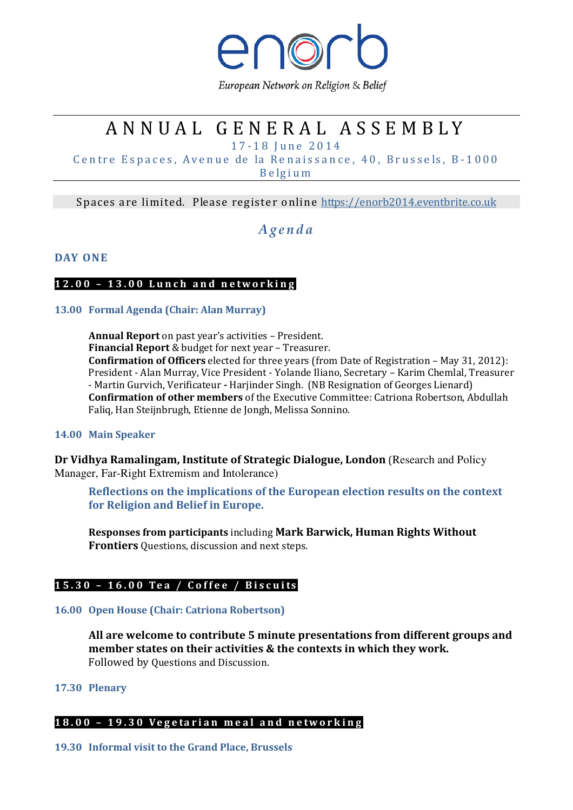

European Network on Religion & Belief

# A N N U A L G E N E R A L A S S E M B L Y

1 7 - 1 8 J u n e 2 0 1 4

Centre Espaces, Avenue de la Renaissance, 40, Brussels, B-1000 B e lg i u m

Spaces are limited. Please register online https://enorb2014.eventbrite.co.uk

## A g e n d a

## DAY ONE

## 12.00 - 13.00 Lunch and networking

## 13.00 Formal Agenda (Chair: Alan Murray)

Annual Report on past year's activities – President. Financial Report & budget for next year – Treasurer. Confirmation of Officers elected for three years (from Date of Registration – May 31, 2012): President - Alan Murray, Vice President - Yolande Iliano, Secretary – Karim Chemlal, Treasurer - Martin Gurvich, Verificateur - Harjinder Singh. (NB Resignation of Georges Lienard) Confirmation of other members of the Executive Committee: Catriona Robertson, Abdullah Faliq, Han Steijnbrugh, Etienne de Jongh, Melissa Sonnino.

## 14.00 Main Speaker

Dr Vidhya Ramalingam, Institute of Strategic Dialogue, London (Research and Policy Manager, Far-Right Extremism and Intolerance)

Reflections on the implications of the European election results on the context for Religion and Belief in Europe.

Responses from participants including Mark Barwick, Human Rights Without Frontiers Questions, discussion and next steps.

## 15.30 - 16.00 Tea / Coffee / Biscuits

## 16.00 Open House (Chair: Catriona Robertson)

All are welcome to contribute 5 minute presentations from different groups and member states on their activities & the contexts in which they work. Followed by Questions and Discussion.

## 17.30 Plenary

## 18.00 - 19.30 Vegetarian meal and networking

## 19.30 Informal visit to the Grand Place, Brussels